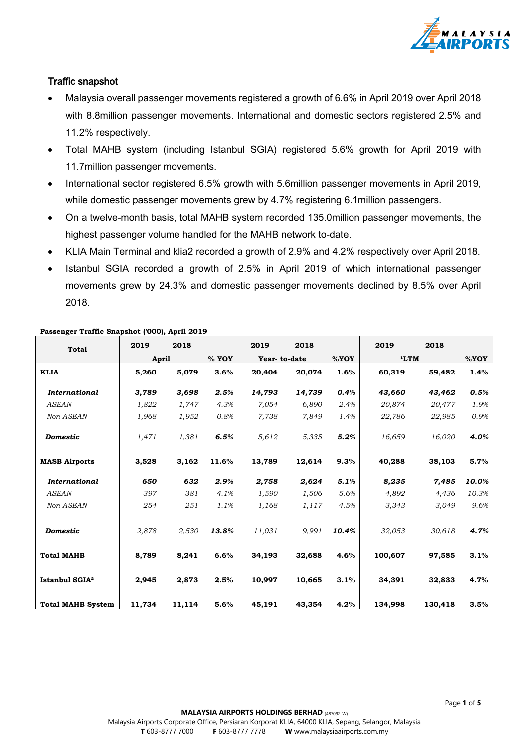

# Traffic snapshot

- Malaysia overall passenger movements registered a growth of 6.6% in April 2019 over April 2018 with 8.8million passenger movements. International and domestic sectors registered 2.5% and 11.2% respectively.
- Total MAHB system (including Istanbul SGIA) registered 5.6% growth for April 2019 with 11.7million passenger movements.
- International sector registered 6.5% growth with 5.6million passenger movements in April 2019, while domestic passenger movements grew by 4.7% registering 6.1 million passengers.
- On a twelve-month basis, total MAHB system recorded 135.0million passenger movements, the highest passenger volume handled for the MAHB network to-date.
- KLIA Main Terminal and klia2 recorded a growth of 2.9% and 4.2% respectively over April 2018.
- Istanbul SGIA recorded a growth of 2.5% in April 2019 of which international passenger movements grew by 24.3% and domestic passenger movements declined by 8.5% over April 2018.

| <b>Total</b>               | 2019         | 2018   |       | 2019         | 2018   |         | 2019    | 2018    |         |
|----------------------------|--------------|--------|-------|--------------|--------|---------|---------|---------|---------|
|                            | <b>April</b> |        | % YOY | Year-to-date |        | %YOY    | 'LTM    |         | %YOY    |
| <b>KLIA</b>                | 5,260        | 5,079  | 3.6%  | 20,404       | 20,074 | 1.6%    | 60,319  | 59,482  | 1.4%    |
| <b>International</b>       | 3,789        | 3,698  | 2.5%  | 14,793       | 14,739 | 0.4%    | 43,660  | 43,462  | 0.5%    |
| <b>ASEAN</b>               | 1,822        | 1,747  | 4.3%  | 7,054        | 6,890  | 2.4%    | 20,874  | 20,477  | 1.9%    |
| Non-ASEAN                  | 1,968        | 1,952  | 0.8%  | 7,738        | 7,849  | $-1.4%$ | 22,786  | 22,985  | $-0.9%$ |
| <b>Domestic</b>            | 1,471        | 1,381  | 6.5%  | 5,612        | 5,335  | 5.2%    | 16,659  | 16,020  | 4.0%    |
| <b>MASB Airports</b>       | 3,528        | 3,162  | 11.6% | 13,789       | 12,614 | 9.3%    | 40,288  | 38,103  | 5.7%    |
| <b>International</b>       | 650          | 632    | 2.9%  | 2,758        | 2,624  | 5.1%    | 8,235   | 7,485   | 10.0%   |
| <b>ASEAN</b>               | 397          | 381    | 4.1%  | 1,590        | 1,506  | 5.6%    | 4,892   | 4,436   | 10.3%   |
| Non-ASEAN                  | 254          | 251    | 1.1%  | 1,168        | 1,117  | 4.5%    | 3,343   | 3,049   | 9.6%    |
| <b>Domestic</b>            | 2,878        | 2,530  | 13.8% | 11,031       | 9,991  | 10.4%   | 32,053  | 30,618  | 4.7%    |
| <b>Total MAHB</b>          | 8,789        | 8,241  | 6.6%  | 34,193       | 32,688 | 4.6%    | 100,607 | 97,585  | 3.1%    |
| Istanbul SGIA <sup>2</sup> | 2,945        | 2,873  | 2.5%  | 10,997       | 10,665 | 3.1%    | 34,391  | 32,833  | 4.7%    |
| <b>Total MAHB System</b>   | 11,734       | 11,114 | 5.6%  | 45,191       | 43,354 | 4.2%    | 134,998 | 130,418 | 3.5%    |

#### **Passenger Traffic Snapshot ('000), April 2019**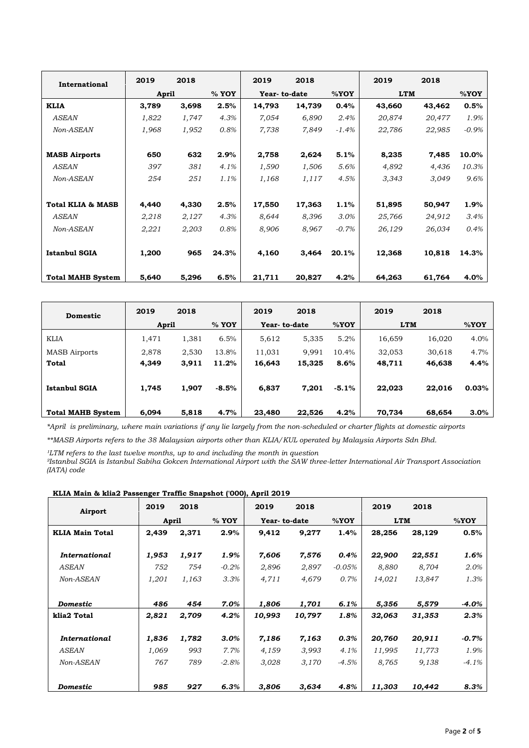| International                | 2019         | 2018  |       | 2019         | 2018   |         | 2019       | 2018   |         |
|------------------------------|--------------|-------|-------|--------------|--------|---------|------------|--------|---------|
|                              | <b>April</b> |       | % YOY | Year-to-date |        | $%$ YOY | <b>LTM</b> |        | %YOY    |
| <b>KLIA</b>                  | 3,789        | 3,698 | 2.5%  | 14,793       | 14,739 | 0.4%    | 43,660     | 43,462 | 0.5%    |
| <b>ASEAN</b>                 | 1,822        | 1,747 | 4.3%  | 7,054        | 6,890  | 2.4%    | 20,874     | 20,477 | 1.9%    |
| Non-ASEAN                    | 1,968        | 1,952 | 0.8%  | 7,738        | 7,849  | $-1.4%$ | 22,786     | 22,985 | $-0.9%$ |
|                              |              |       |       |              |        |         |            |        |         |
| <b>MASB Airports</b>         | 650          | 632   | 2.9%  | 2,758        | 2,624  | 5.1%    | 8,235      | 7,485  | 10.0%   |
| <b>ASEAN</b>                 | 397          | 381   | 4.1%  | 1,590        | 1,506  | 5.6%    | 4,892      | 4,436  | 10.3%   |
| Non-ASEAN                    | 254          | 251   | 1.1%  | 1,168        | 1,117  | 4.5%    | 3,343      | 3,049  | 9.6%    |
|                              |              |       |       |              |        |         |            |        |         |
| <b>Total KLIA &amp; MASB</b> | 4,440        | 4,330 | 2.5%  | 17,550       | 17,363 | 1.1%    | 51,895     | 50,947 | 1.9%    |
| <b>ASEAN</b>                 | 2,218        | 2,127 | 4.3%  | 8,644        | 8,396  | 3.0%    | 25,766     | 24,912 | 3.4%    |
| Non-ASEAN                    | 2,221        | 2,203 | 0.8%  | 8,906        | 8,967  | $-0.7%$ | 26,129     | 26,034 | 0.4%    |
|                              |              |       |       |              |        |         |            |        |         |
| <b>Istanbul SGIA</b>         | 1,200        | 965   | 24.3% | 4,160        | 3,464  | 20.1%   | 12,368     | 10,818 | 14.3%   |
|                              |              |       |       |              |        |         |            |        |         |
| <b>Total MAHB System</b>     | 5,640        | 5,296 | 6.5%  | 21,711       | 20,827 | 4.2%    | 64,263     | 61,764 | 4.0%    |

| <b>Domestic</b>          | 2019  | 2018  |         | 2019         | 2018   |         | 2019       | 2018   |       |
|--------------------------|-------|-------|---------|--------------|--------|---------|------------|--------|-------|
|                          | April |       | $%$ YOY | Year-to-date |        | $%$ YOY | <b>LTM</b> |        | %YOY  |
| <b>KLIA</b>              | 1,471 | 1.381 | 6.5%    | 5,612        | 5,335  | 5.2%    | 16,659     | 16,020 | 4.0%  |
| <b>MASB</b> Airports     | 2,878 | 2,530 | 13.8%   | 11,031       | 9,991  | 10.4%   | 32,053     | 30,618 | 4.7%  |
| <b>Total</b>             | 4,349 | 3,911 | 11.2%   | 16,643       | 15,325 | 8.6%    | 48,711     | 46,638 | 4.4%  |
|                          |       |       |         |              |        |         |            |        |       |
| <b>Istanbul SGIA</b>     | 1,745 | 1,907 | $-8.5%$ | 6,837        | 7.201  | $-5.1%$ | 22,023     | 22,016 | 0.03% |
|                          |       |       |         |              |        |         |            |        |       |
| <b>Total MAHB System</b> | 6,094 | 5,818 | 4.7%    | 23,480       | 22,526 | 4.2%    | 70,734     | 68,654 | 3.0%  |

*\*April is preliminary, where main variations if any lie largely from the non-scheduled or charter flights at domestic airports*

*\*\*MASB Airports refers to the 38 Malaysian airports other than KLIA/KUL operated by Malaysia Airports Sdn Bhd.*

<sup>1</sup>LTM refers to the last twelve months, up to and including the month in question *²Istanbul SGIA is Istanbul Sabiha Gokcen International Airport with the SAW three-letter International Air Transport Association (IATA) code*

| KDIA MAIII W KHAZ FASSCHECI TIAHIC SHAPSHOT ( OOO), APIH ZOTS |       |       |          |              |        |           |            |        |          |
|---------------------------------------------------------------|-------|-------|----------|--------------|--------|-----------|------------|--------|----------|
| Airport                                                       | 2019  | 2018  |          | 2019         | 2018   |           | 2019       | 2018   |          |
|                                                               | April |       | % YOY    | Year-to-date |        | %YOY      | <b>LTM</b> |        | %YOY     |
| <b>KLIA Main Total</b>                                        | 2,439 | 2,371 | 2.9%     | 9,412        | 9,277  | 1.4%      | 28,256     | 28,129 | 0.5%     |
| International                                                 | 1,953 | 1,917 | 1.9%     | 7,606        | 7,576  | 0.4%      | 22,900     | 22,551 | 1.6%     |
| <b>ASEAN</b>                                                  | 752   | 754   | $-0.2\%$ | 2,896        | 2,897  | $-0.05\%$ | 8,880      | 8,704  | 2.0%     |
| Non-ASEAN                                                     | 1,201 | 1,163 | 3.3%     | 4,711        | 4,679  | 0.7%      | 14,021     | 13,847 | 1.3%     |
| Domestic                                                      | 486   | 454   | 7.0%     | 1,806        | 1,701  | 6.1%      | 5,356      | 5,579  | $-4.0\%$ |
| klia2 Total                                                   | 2,821 | 2,709 | 4.2%     | 10,993       | 10,797 | 1.8%      | 32,063     | 31,353 | 2.3%     |
| International                                                 | 1,836 | 1,782 | $3.0\%$  | 7,186        | 7,163  | 0.3%      | 20,760     | 20,911 | $-0.7\%$ |
| <b>ASEAN</b>                                                  | 1,069 | 993   | 7.7%     | 4,159        | 3,993  | 4.1%      | 11,995     | 11,773 | 1.9%     |
| Non-ASEAN                                                     | 767   | 789   | $-2.8%$  | 3,028        | 3,170  | $-4.5%$   | 8,765      | 9,138  | $-4.1%$  |
| <b>Domestic</b>                                               | 985   | 927   | 6.3%     | 3,806        | 3.634  | 4.8%      | 11,303     | 10.442 | 8.3%     |

**KLIA Main & klia2 Passenger Traffic Snapshot ('000), April 2019**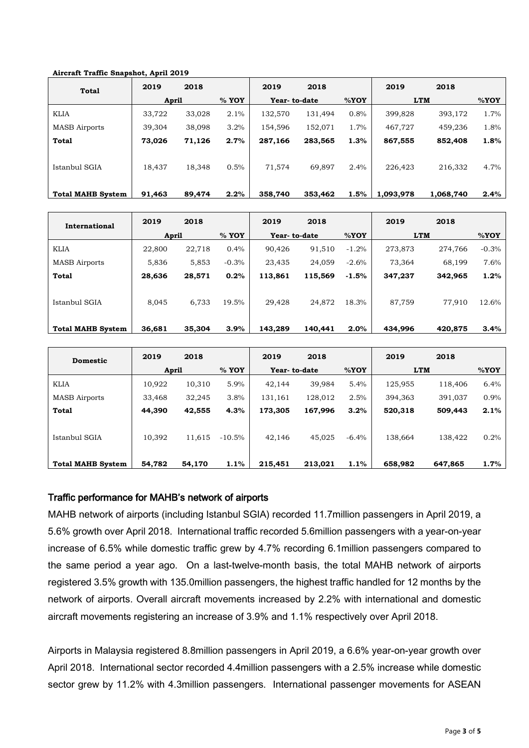### **Aircraft Traffic Snapshot, April 2019**

| <b>Total</b>             | 2019   | 2018   |         | 2019         | 2018    |      | 2019       | 2018      |      |
|--------------------------|--------|--------|---------|--------------|---------|------|------------|-----------|------|
|                          | April  |        | $%$ YOY | Year-to-date |         | %YOY | <b>LTM</b> |           | %YOY |
| <b>KLIA</b>              | 33,722 | 33,028 | 2.1%    | 132,570      | 131,494 | 0.8% | 399,828    | 393,172   | 1.7% |
| <b>MASB</b> Airports     | 39,304 | 38,098 | 3.2%    | 154,596      | 152,071 | 1.7% | 467,727    | 459,236   | 1.8% |
| Total                    | 73,026 | 71,126 | 2.7%    | 287,166      | 283,565 | 1.3% | 867,555    | 852,408   | 1.8% |
| Istanbul SGIA            | 18,437 | 18,348 | 0.5%    | 71,574       | 69,897  | 2.4% | 226,423    | 216,332   | 4.7% |
| <b>Total MAHB System</b> | 91,463 | 89,474 | 2.2%    | 358,740      | 353,462 | 1.5% | 1.093.978  | 1.068.740 | 2.4% |

| International            | 2019   | 2018   |         | 2019         | 2018    |         | 2019       | 2018    |         |
|--------------------------|--------|--------|---------|--------------|---------|---------|------------|---------|---------|
|                          | April  |        | $%$ YOY | Year-to-date |         | %YOY    | <b>LTM</b> |         | %YOY    |
| <b>KLIA</b>              | 22,800 | 22,718 | $0.4\%$ | 90,426       | 91,510  | $-1.2%$ | 273,873    | 274.766 | $-0.3%$ |
| <b>MASB</b> Airports     | 5,836  | 5,853  | $-0.3%$ | 23,435       | 24,059  | $-2.6%$ | 73,364     | 68,199  | 7.6%    |
| <b>Total</b>             | 28,636 | 28,571 | 0.2%    | 113,861      | 115,569 | $-1.5%$ | 347,237    | 342,965 | 1.2%    |
| Istanbul SGIA            | 8,045  | 6,733  | 19.5%   | 29,428       | 24,872  | 18.3%   | 87,759     | 77,910  | 12.6%   |
| <b>Total MAHB System</b> | 36,681 | 35,304 | $3.9\%$ | 143,289      | 140,441 | 2.0%    | 434,996    | 420,875 | 3.4%    |

| <b>Domestic</b>          | 2019   | 2018   |           | 2019         | 2018    |          | 2019       | 2018    |      |
|--------------------------|--------|--------|-----------|--------------|---------|----------|------------|---------|------|
|                          | April  |        | $%$ YOY   | Year-to-date |         | %YOY     | <b>LTM</b> |         | %YOY |
| <b>KLIA</b>              | 10,922 | 10,310 | 5.9%      | 42.144       | 39.984  | 5.4%     | 125,955    | 118,406 | 6.4% |
| <b>MASB</b> Airports     | 33.468 | 32,245 | 3.8%      | 131,161      | 128,012 | 2.5%     | 394,363    | 391.037 | 0.9% |
| Total                    | 44,390 | 42,555 | 4.3%      | 173,305      | 167,996 | 3.2%     | 520,318    | 509,443 | 2.1% |
| Istanbul SGIA            | 10,392 | 11,615 | $-10.5\%$ | 42.146       | 45.025  | $-6.4\%$ | 138,664    | 138.422 | 0.2% |
| <b>Total MAHB System</b> | 54.782 | 54,170 | 1.1%      | 215,451      | 213,021 | 1.1%     | 658,982    | 647.865 | 1.7% |

## Traffic performance for MAHB's network of airports

MAHB network of airports (including Istanbul SGIA) recorded 11.7million passengers in April 2019, a 5.6% growth over April 2018. International traffic recorded 5.6million passengers with a year-on-year increase of 6.5% while domestic traffic grew by 4.7% recording 6.1million passengers compared to the same period a year ago. On a last-twelve-month basis, the total MAHB network of airports registered 3.5% growth with 135.0million passengers, the highest traffic handled for 12 months by the network of airports. Overall aircraft movements increased by 2.2% with international and domestic aircraft movements registering an increase of 3.9% and 1.1% respectively over April 2018.

Airports in Malaysia registered 8.8million passengers in April 2019, a 6.6% year-on-year growth over April 2018. International sector recorded 4.4million passengers with a 2.5% increase while domestic sector grew by 11.2% with 4.3million passengers. International passenger movements for ASEAN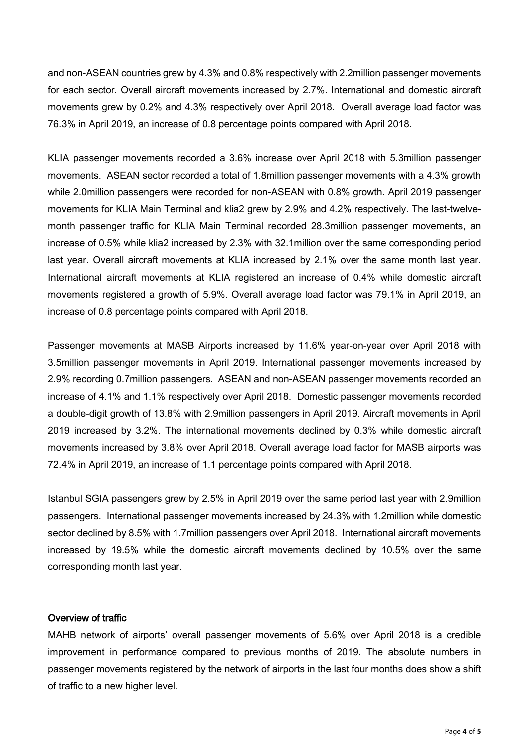and non-ASEAN countries grew by 4.3% and 0.8% respectively with 2.2million passenger movements for each sector. Overall aircraft movements increased by 2.7%. International and domestic aircraft movements grew by 0.2% and 4.3% respectively over April 2018. Overall average load factor was 76.3% in April 2019, an increase of 0.8 percentage points compared with April 2018.

KLIA passenger movements recorded a 3.6% increase over April 2018 with 5.3million passenger movements. ASEAN sector recorded a total of 1.8million passenger movements with a 4.3% growth while 2.0million passengers were recorded for non-ASEAN with 0.8% growth. April 2019 passenger movements for KLIA Main Terminal and klia2 grew by 2.9% and 4.2% respectively. The last-twelvemonth passenger traffic for KLIA Main Terminal recorded 28.3million passenger movements, an increase of 0.5% while klia2 increased by 2.3% with 32.1million over the same corresponding period last year. Overall aircraft movements at KLIA increased by 2.1% over the same month last year. International aircraft movements at KLIA registered an increase of 0.4% while domestic aircraft movements registered a growth of 5.9%. Overall average load factor was 79.1% in April 2019, an increase of 0.8 percentage points compared with April 2018.

Passenger movements at MASB Airports increased by 11.6% year-on-year over April 2018 with 3.5million passenger movements in April 2019. International passenger movements increased by 2.9% recording 0.7million passengers. ASEAN and non-ASEAN passenger movements recorded an increase of 4.1% and 1.1% respectively over April 2018. Domestic passenger movements recorded a double-digit growth of 13.8% with 2.9million passengers in April 2019. Aircraft movements in April 2019 increased by 3.2%. The international movements declined by 0.3% while domestic aircraft movements increased by 3.8% over April 2018. Overall average load factor for MASB airports was 72.4% in April 2019, an increase of 1.1 percentage points compared with April 2018.

Istanbul SGIA passengers grew by 2.5% in April 2019 over the same period last year with 2.9million passengers. International passenger movements increased by 24.3% with 1.2million while domestic sector declined by 8.5% with 1.7million passengers over April 2018. International aircraft movements increased by 19.5% while the domestic aircraft movements declined by 10.5% over the same corresponding month last year.

## Overview of traffic

MAHB network of airports' overall passenger movements of 5.6% over April 2018 is a credible improvement in performance compared to previous months of 2019. The absolute numbers in passenger movements registered by the network of airports in the last four months does show a shift of traffic to a new higher level.